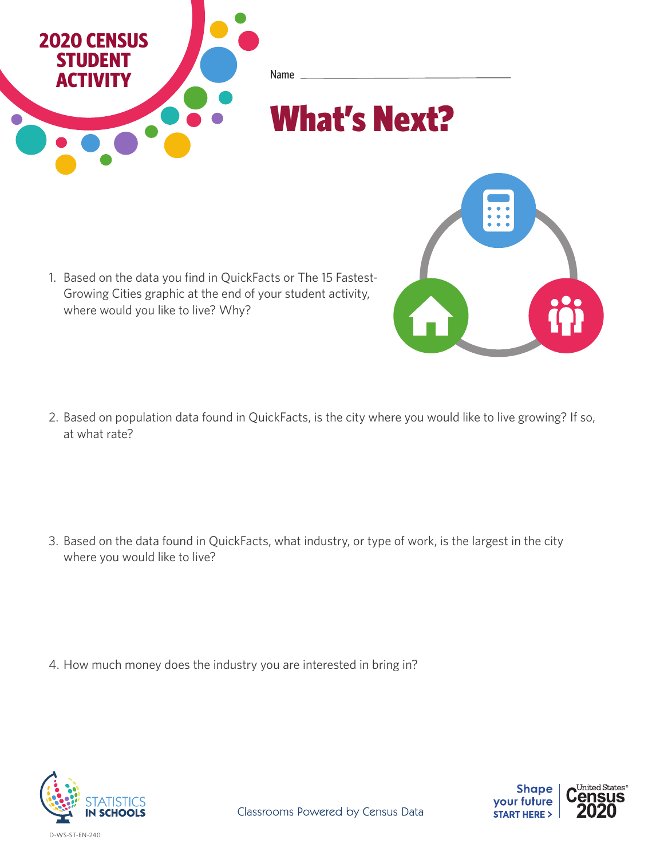

1. Based on the data you find in QuickFacts or The 15 Fastest-Growing Cities graphic at the end of your student activity, where would you like to live? Why?

2. Based on population data found in QuickFacts, is the city where you would like to live growing? If so, at what rate?

3. Based on the data found in QuickFacts, what industry, or type of work, is the largest in the city where you would like to live?

4. How much money does the industry you are interested in bring in?



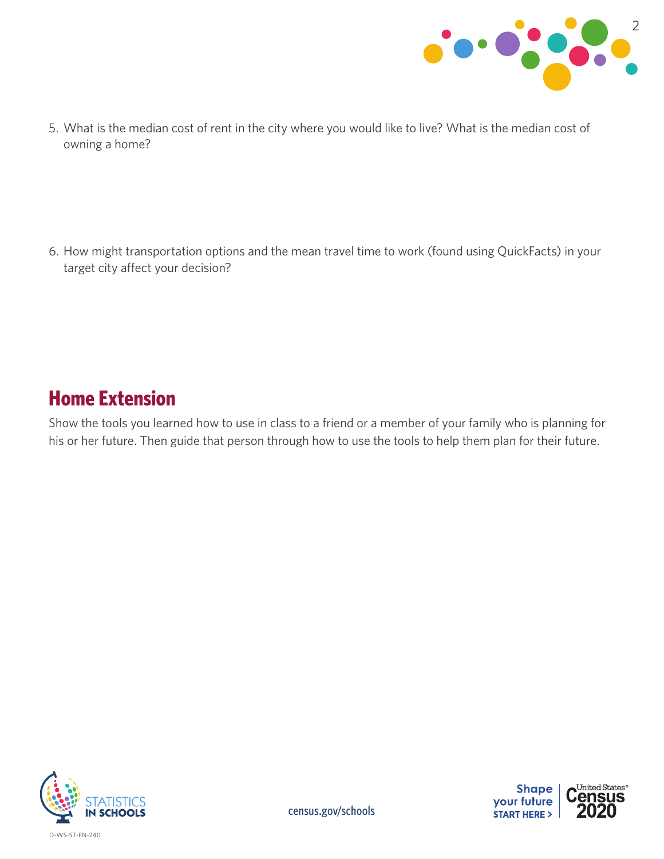

5. What is the median cost of rent in the city where you would like to live? What is the median cost of owning a home?

6. How might transportation options and the mean travel time to work (found using QuickFacts) in your target city affect your decision?

## **Home Extension**

Show the tools you learned how to use in class to a friend or a member of your family who is planning for his or her future. Then guide that person through how to use the tools to help them plan for their future.